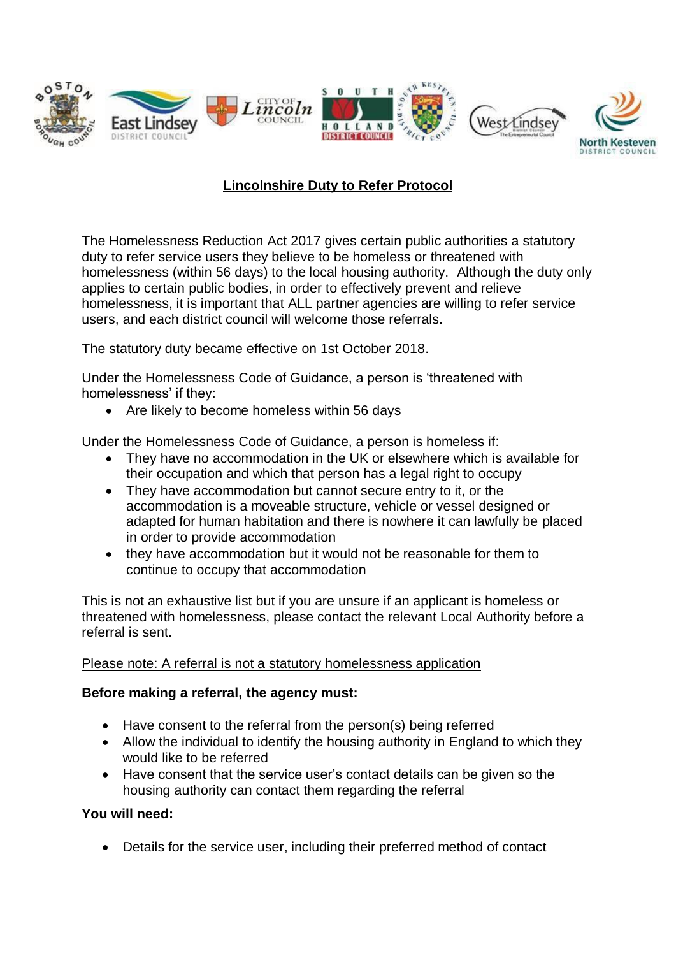

# **Lincolnshire Duty to Refer Protocol**

The Homelessness Reduction Act 2017 gives certain public authorities a statutory duty to refer service users they believe to be homeless or threatened with homelessness (within 56 days) to the local housing authority. Although the duty only applies to certain public bodies, in order to effectively prevent and relieve homelessness, it is important that ALL partner agencies are willing to refer service users, and each district council will welcome those referrals.

The statutory duty became effective on 1st October 2018.

Under the Homelessness Code of Guidance, a person is 'threatened with homelessness' if they:

• Are likely to become homeless within 56 days

Under the Homelessness Code of Guidance, a person is homeless if:

- They have no accommodation in the UK or elsewhere which is available for their occupation and which that person has a legal right to occupy
- They have accommodation but cannot secure entry to it, or the accommodation is a moveable structure, vehicle or vessel designed or adapted for human habitation and there is nowhere it can lawfully be placed in order to provide accommodation
- they have accommodation but it would not be reasonable for them to continue to occupy that accommodation

This is not an exhaustive list but if you are unsure if an applicant is homeless or threatened with homelessness, please contact the relevant Local Authority before a referral is sent.

#### Please note: A referral is not a statutory homelessness application

#### **Before making a referral, the agency must:**

- Have consent to the referral from the person(s) being referred
- Allow the individual to identify the housing authority in England to which they would like to be referred
- Have consent that the service user's contact details can be given so the housing authority can contact them regarding the referral

#### **You will need:**

Details for the service user, including their preferred method of contact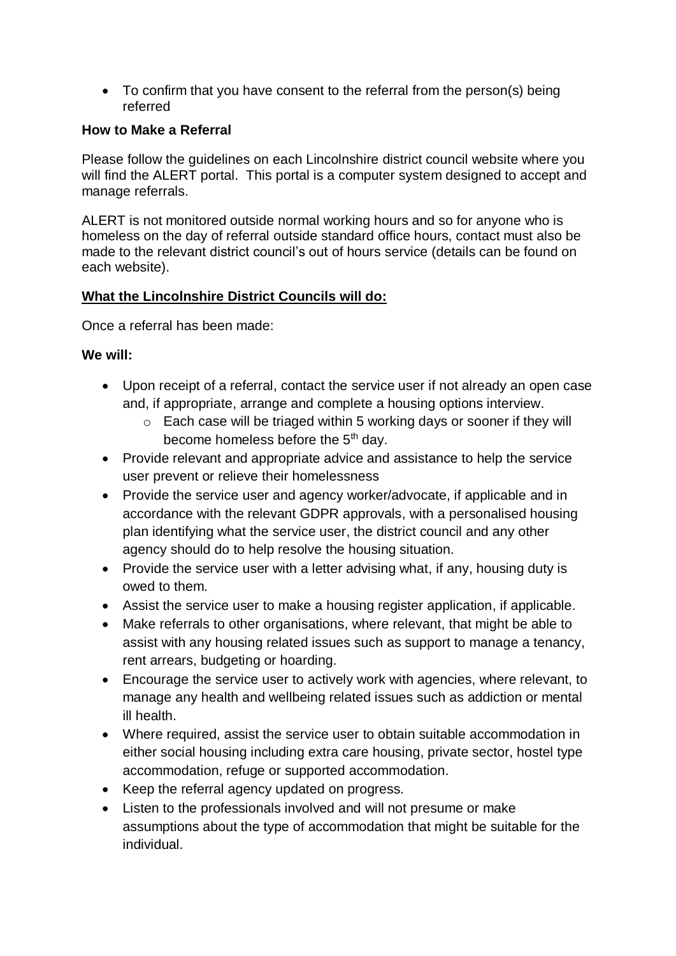• To confirm that you have consent to the referral from the person(s) being referred

## **How to Make a Referral**

Please follow the guidelines on each Lincolnshire district council website where you will find the ALERT portal. This portal is a computer system designed to accept and manage referrals.

ALERT is not monitored outside normal working hours and so for anyone who is homeless on the day of referral outside standard office hours, contact must also be made to the relevant district council's out of hours service (details can be found on each website).

## **What the Lincolnshire District Councils will do:**

Once a referral has been made:

## **We will:**

- Upon receipt of a referral, contact the service user if not already an open case and, if appropriate, arrange and complete a housing options interview.
	- o Each case will be triaged within 5 working days or sooner if they will become homeless before the 5<sup>th</sup> day.
- Provide relevant and appropriate advice and assistance to help the service user prevent or relieve their homelessness
- Provide the service user and agency worker/advocate, if applicable and in accordance with the relevant GDPR approvals, with a personalised housing plan identifying what the service user, the district council and any other agency should do to help resolve the housing situation.
- Provide the service user with a letter advising what, if any, housing duty is owed to them.
- Assist the service user to make a housing register application, if applicable.
- Make referrals to other organisations, where relevant, that might be able to assist with any housing related issues such as support to manage a tenancy, rent arrears, budgeting or hoarding.
- Encourage the service user to actively work with agencies, where relevant, to manage any health and wellbeing related issues such as addiction or mental ill health.
- Where required, assist the service user to obtain suitable accommodation in either social housing including extra care housing, private sector, hostel type accommodation, refuge or supported accommodation.
- Keep the referral agency updated on progress.
- Listen to the professionals involved and will not presume or make assumptions about the type of accommodation that might be suitable for the individual.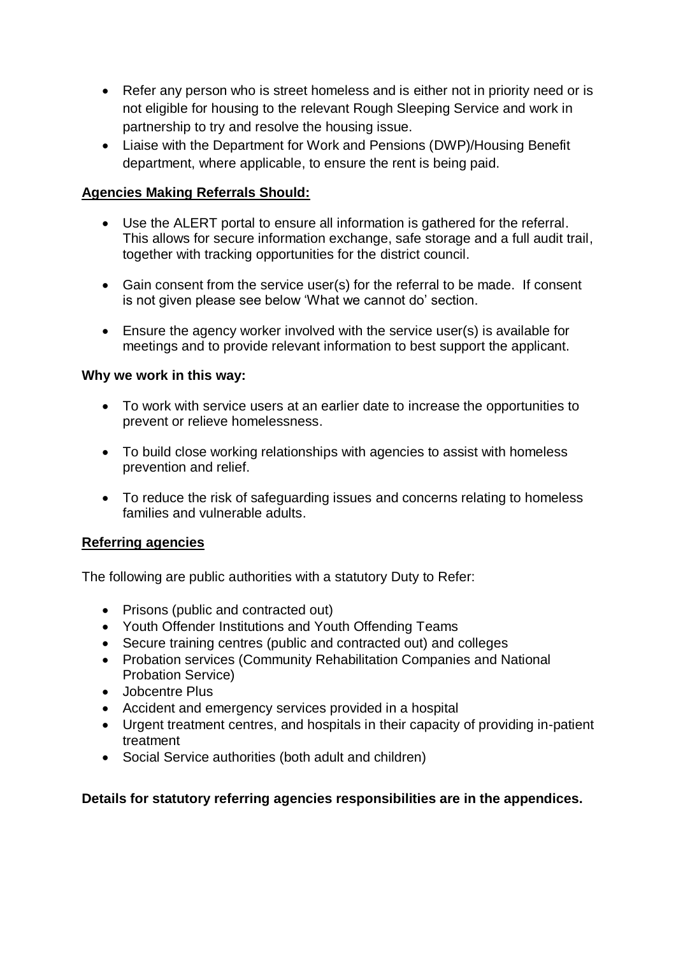- Refer any person who is street homeless and is either not in priority need or is not eligible for housing to the relevant Rough Sleeping Service and work in partnership to try and resolve the housing issue.
- Liaise with the Department for Work and Pensions (DWP)/Housing Benefit department, where applicable, to ensure the rent is being paid.

# **Agencies Making Referrals Should:**

- Use the ALERT portal to ensure all information is gathered for the referral. This allows for secure information exchange, safe storage and a full audit trail, together with tracking opportunities for the district council.
- Gain consent from the service user(s) for the referral to be made. If consent is not given please see below 'What we cannot do' section.
- Ensure the agency worker involved with the service user(s) is available for meetings and to provide relevant information to best support the applicant.

## **Why we work in this way:**

- To work with service users at an earlier date to increase the opportunities to prevent or relieve homelessness.
- To build close working relationships with agencies to assist with homeless prevention and relief.
- To reduce the risk of safeguarding issues and concerns relating to homeless families and vulnerable adults.

## **Referring agencies**

The following are public authorities with a statutory Duty to Refer:

- Prisons (public and contracted out)
- Youth Offender Institutions and Youth Offending Teams
- Secure training centres (public and contracted out) and colleges
- Probation services (Community Rehabilitation Companies and National Probation Service)
- Jobcentre Plus
- Accident and emergency services provided in a hospital
- Urgent treatment centres, and hospitals in their capacity of providing in-patient treatment
- Social Service authorities (both adult and children)

## **Details for statutory referring agencies responsibilities are in the appendices.**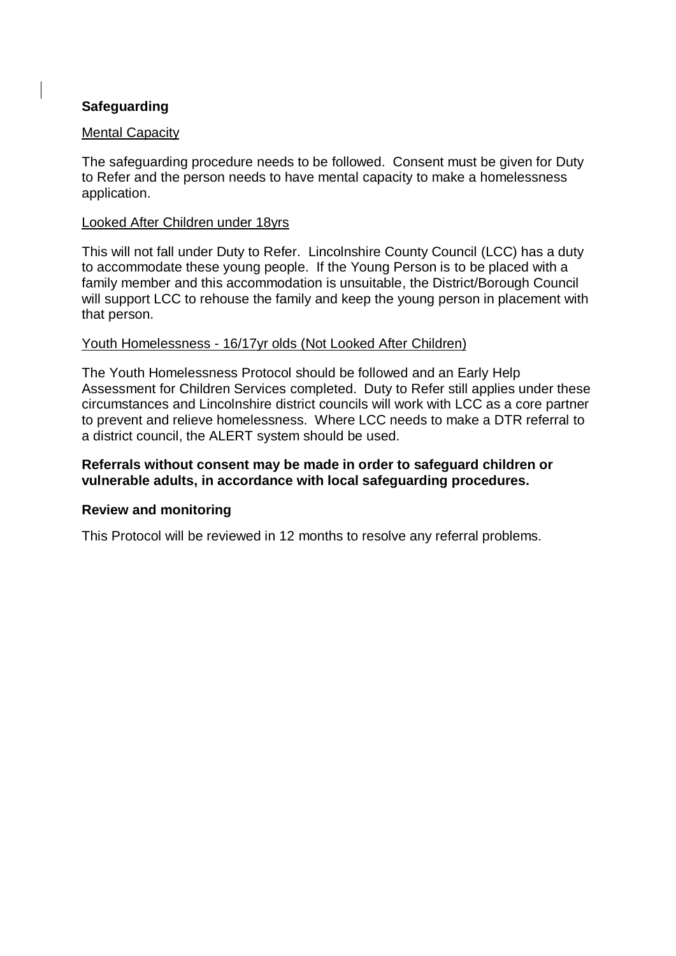# **Safeguarding**

#### Mental Capacity

The safeguarding procedure needs to be followed. Consent must be given for Duty to Refer and the person needs to have mental capacity to make a homelessness application.

#### Looked After Children under 18yrs

This will not fall under Duty to Refer. Lincolnshire County Council (LCC) has a duty to accommodate these young people. If the Young Person is to be placed with a family member and this accommodation is unsuitable, the District/Borough Council will support LCC to rehouse the family and keep the young person in placement with that person.

#### Youth Homelessness - 16/17yr olds (Not Looked After Children)

The Youth Homelessness Protocol should be followed and an Early Help Assessment for Children Services completed. Duty to Refer still applies under these circumstances and Lincolnshire district councils will work with LCC as a core partner to prevent and relieve homelessness. Where LCC needs to make a DTR referral to a district council, the ALERT system should be used.

#### **Referrals without consent may be made in order to safeguard children or vulnerable adults, in accordance with local safeguarding procedures.**

#### **Review and monitoring**

This Protocol will be reviewed in 12 months to resolve any referral problems.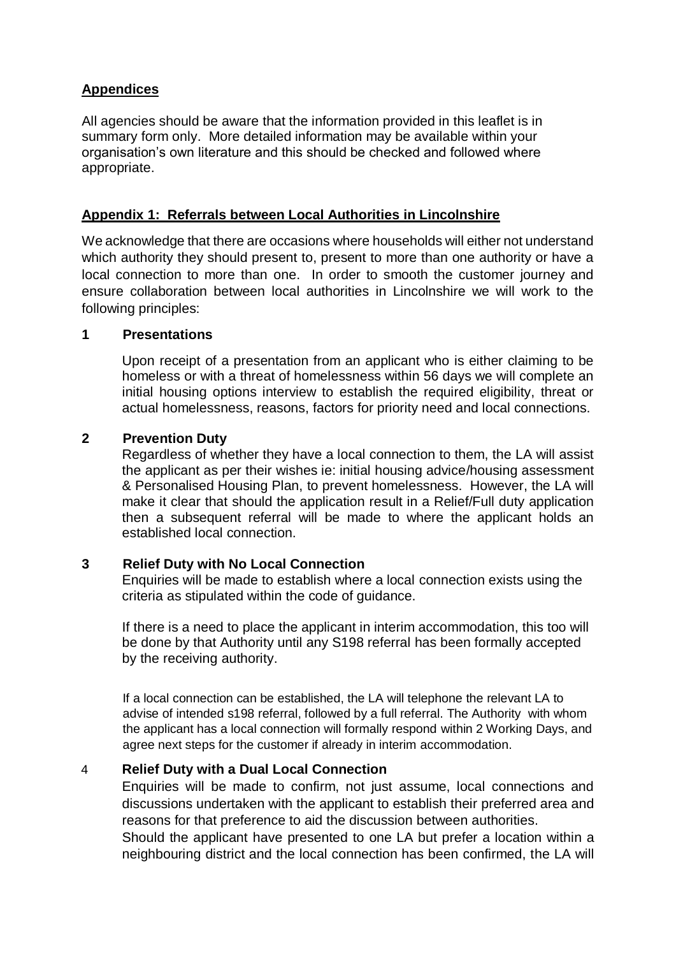# **Appendices**

All agencies should be aware that the information provided in this leaflet is in summary form only. More detailed information may be available within your organisation's own literature and this should be checked and followed where appropriate.

## **Appendix 1: Referrals between Local Authorities in Lincolnshire**

We acknowledge that there are occasions where households will either not understand which authority they should present to, present to more than one authority or have a local connection to more than one. In order to smooth the customer journey and ensure collaboration between local authorities in Lincolnshire we will work to the following principles:

#### **1 Presentations**

Upon receipt of a presentation from an applicant who is either claiming to be homeless or with a threat of homelessness within 56 days we will complete an initial housing options interview to establish the required eligibility, threat or actual homelessness, reasons, factors for priority need and local connections.

## **2 Prevention Duty**

Regardless of whether they have a local connection to them, the LA will assist the applicant as per their wishes ie: initial housing advice/housing assessment & Personalised Housing Plan, to prevent homelessness. However, the LA will make it clear that should the application result in a Relief/Full duty application then a subsequent referral will be made to where the applicant holds an established local connection.

## **3 Relief Duty with No Local Connection**

Enquiries will be made to establish where a local connection exists using the criteria as stipulated within the code of guidance.

If there is a need to place the applicant in interim accommodation, this too will be done by that Authority until any S198 referral has been formally accepted by the receiving authority.

If a local connection can be established, the LA will telephone the relevant LA to advise of intended s198 referral, followed by a full referral. The Authority with whom the applicant has a local connection will formally respond within 2 Working Days, and agree next steps for the customer if already in interim accommodation.

## 4 **Relief Duty with a Dual Local Connection**

Enquiries will be made to confirm, not just assume, local connections and discussions undertaken with the applicant to establish their preferred area and reasons for that preference to aid the discussion between authorities.

Should the applicant have presented to one LA but prefer a location within a neighbouring district and the local connection has been confirmed, the LA will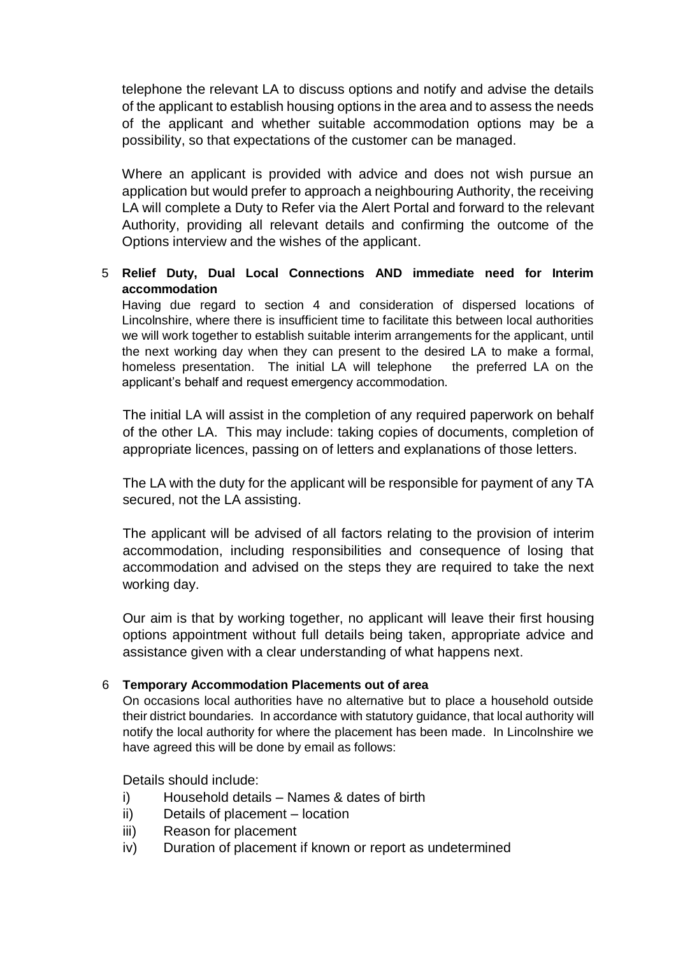telephone the relevant LA to discuss options and notify and advise the details of the applicant to establish housing options in the area and to assess the needs of the applicant and whether suitable accommodation options may be a possibility, so that expectations of the customer can be managed.

Where an applicant is provided with advice and does not wish pursue an application but would prefer to approach a neighbouring Authority, the receiving LA will complete a Duty to Refer via the Alert Portal and forward to the relevant Authority, providing all relevant details and confirming the outcome of the Options interview and the wishes of the applicant.

#### 5 **Relief Duty, Dual Local Connections AND immediate need for Interim accommodation**

Having due regard to section 4 and consideration of dispersed locations of Lincolnshire, where there is insufficient time to facilitate this between local authorities we will work together to establish suitable interim arrangements for the applicant, until the next working day when they can present to the desired LA to make a formal, homeless presentation. The initial LA will telephone the preferred LA on the applicant's behalf and request emergency accommodation.

The initial LA will assist in the completion of any required paperwork on behalf of the other LA. This may include: taking copies of documents, completion of appropriate licences, passing on of letters and explanations of those letters.

The LA with the duty for the applicant will be responsible for payment of any TA secured, not the LA assisting.

The applicant will be advised of all factors relating to the provision of interim accommodation, including responsibilities and consequence of losing that accommodation and advised on the steps they are required to take the next working day.

Our aim is that by working together, no applicant will leave their first housing options appointment without full details being taken, appropriate advice and assistance given with a clear understanding of what happens next.

#### 6 **Temporary Accommodation Placements out of area**

On occasions local authorities have no alternative but to place a household outside their district boundaries. In accordance with statutory guidance, that local authority will notify the local authority for where the placement has been made. In Lincolnshire we have agreed this will be done by email as follows:

Details should include:

- i) Household details Names & dates of birth
- ii) Details of placement location
- iii) Reason for placement
- iv) Duration of placement if known or report as undetermined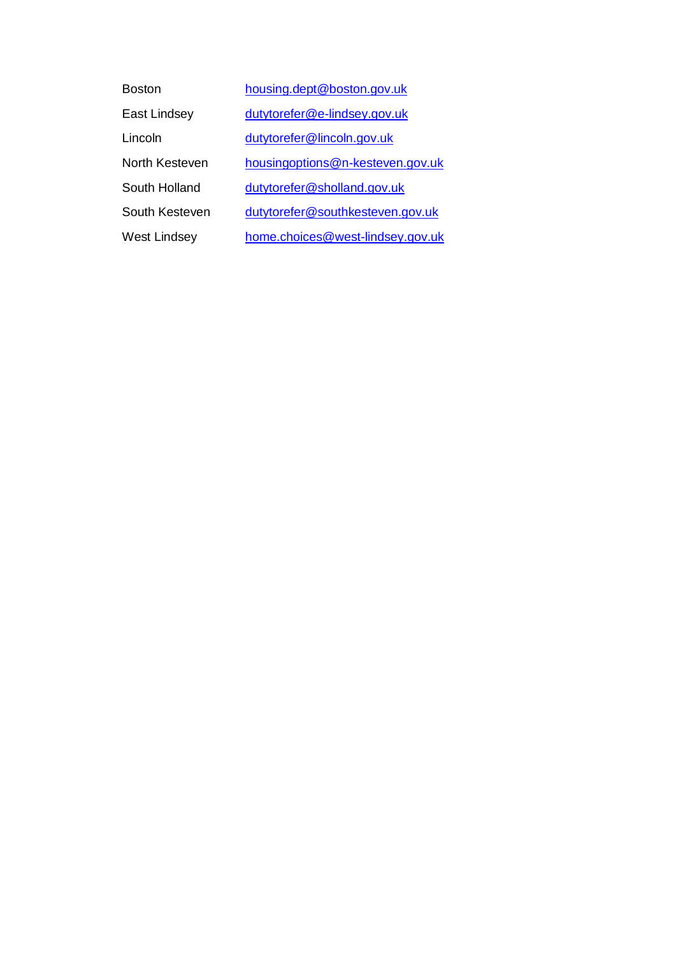| <b>Boston</b>  | housing.dept@boston.gov.uk       |
|----------------|----------------------------------|
| East Lindsey   | dutytorefer@e-lindsey.gov.uk     |
| Lincoln        | dutytorefer@lincoln.gov.uk       |
| North Kesteven | housingoptions@n-kesteven.gov.uk |
| South Holland  | dutytorefer@sholland.gov.uk      |
| South Kesteven | dutytorefer@southkesteven.gov.uk |
| West Lindsey   | home.choices@west-lindsey.gov.uk |
|                |                                  |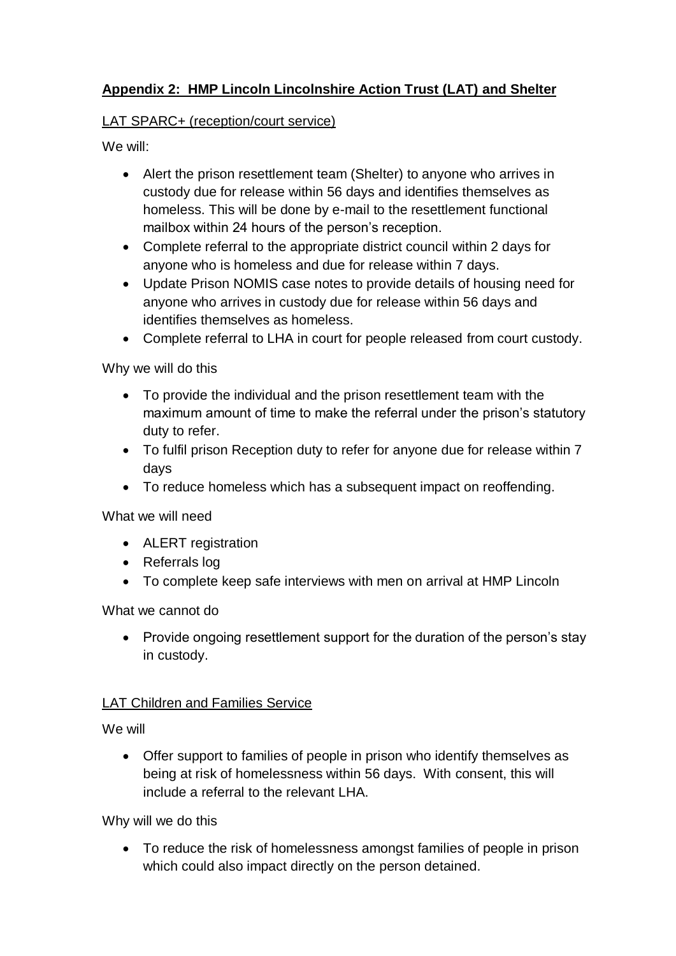# **Appendix 2: HMP Lincoln Lincolnshire Action Trust (LAT) and Shelter**

# LAT SPARC+ (reception/court service)

We will:

- Alert the prison resettlement team (Shelter) to anyone who arrives in custody due for release within 56 days and identifies themselves as homeless. This will be done by e-mail to the resettlement functional mailbox within 24 hours of the person's reception.
- Complete referral to the appropriate district council within 2 days for anyone who is homeless and due for release within 7 days.
- Update Prison NOMIS case notes to provide details of housing need for anyone who arrives in custody due for release within 56 days and identifies themselves as homeless.
- Complete referral to LHA in court for people released from court custody.

Why we will do this

- To provide the individual and the prison resettlement team with the maximum amount of time to make the referral under the prison's statutory duty to refer.
- To fulfil prison Reception duty to refer for anyone due for release within 7 days
- To reduce homeless which has a subsequent impact on reoffending.

What we will need

- ALERT registration
- Referrals log
- To complete keep safe interviews with men on arrival at HMP Lincoln

What we cannot do

• Provide ongoing resettlement support for the duration of the person's stay in custody.

# LAT Children and Families Service

We will

 Offer support to families of people in prison who identify themselves as being at risk of homelessness within 56 days. With consent, this will include a referral to the relevant LHA.

Why will we do this

 To reduce the risk of homelessness amongst families of people in prison which could also impact directly on the person detained.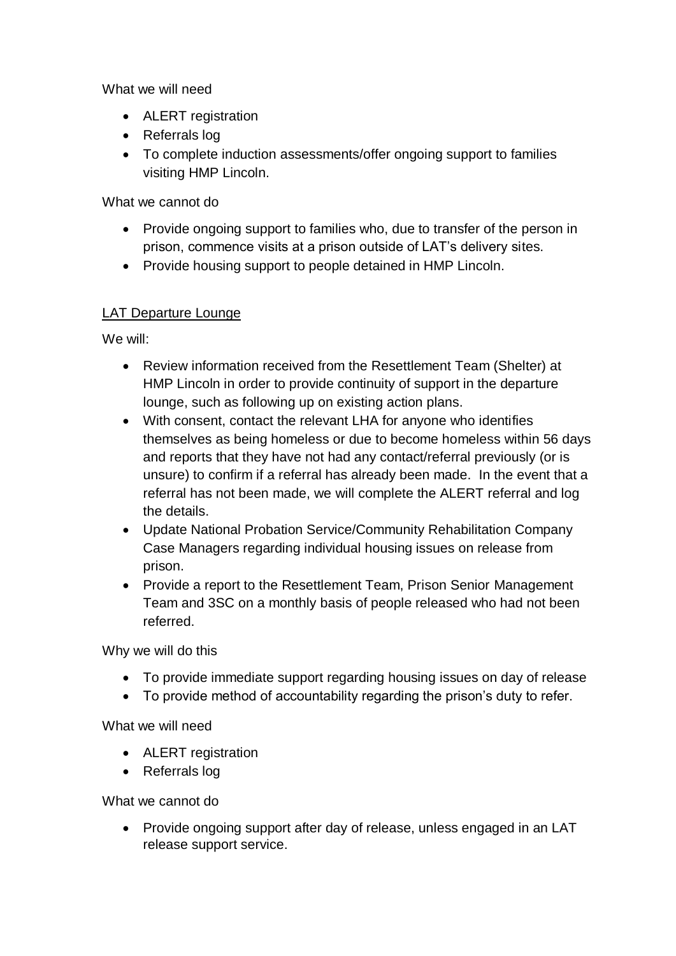What we will need

- ALERT registration
- Referrals log
- To complete induction assessments/offer ongoing support to families visiting HMP Lincoln.

What we cannot do

- Provide ongoing support to families who, due to transfer of the person in prison, commence visits at a prison outside of LAT's delivery sites.
- Provide housing support to people detained in HMP Lincoln.

# LAT Departure Lounge

We will:

- Review information received from the Resettlement Team (Shelter) at HMP Lincoln in order to provide continuity of support in the departure lounge, such as following up on existing action plans.
- With consent, contact the relevant LHA for anyone who identifies themselves as being homeless or due to become homeless within 56 days and reports that they have not had any contact/referral previously (or is unsure) to confirm if a referral has already been made. In the event that a referral has not been made, we will complete the ALERT referral and log the details.
- Update National Probation Service/Community Rehabilitation Company Case Managers regarding individual housing issues on release from prison.
- Provide a report to the Resettlement Team, Prison Senior Management Team and 3SC on a monthly basis of people released who had not been referred.

Why we will do this

- To provide immediate support regarding housing issues on day of release
- To provide method of accountability regarding the prison's duty to refer.

What we will need

- ALERT registration
- Referrals log

What we cannot do

 Provide ongoing support after day of release, unless engaged in an LAT release support service.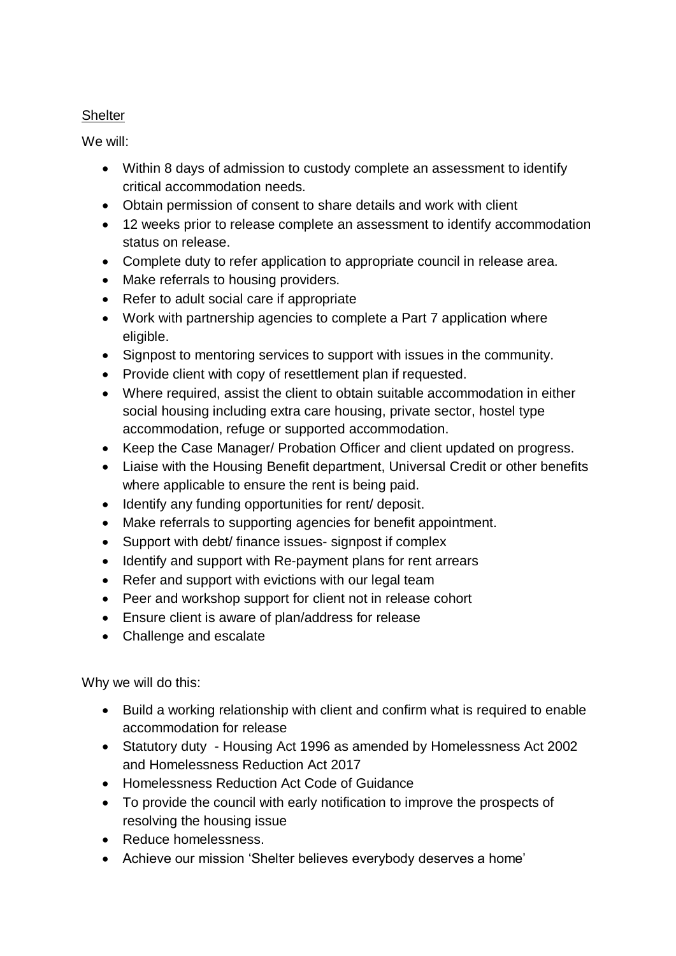# **Shelter**

We will:

- Within 8 days of admission to custody complete an assessment to identify critical accommodation needs.
- Obtain permission of consent to share details and work with client
- 12 weeks prior to release complete an assessment to identify accommodation status on release.
- Complete duty to refer application to appropriate council in release area.
- Make referrals to housing providers.
- Refer to adult social care if appropriate
- Work with partnership agencies to complete a Part 7 application where eligible.
- Signpost to mentoring services to support with issues in the community.
- Provide client with copy of resettlement plan if requested.
- Where required, assist the client to obtain suitable accommodation in either social housing including extra care housing, private sector, hostel type accommodation, refuge or supported accommodation.
- Keep the Case Manager/ Probation Officer and client updated on progress.
- Liaise with the Housing Benefit department, Universal Credit or other benefits where applicable to ensure the rent is being paid.
- Identify any funding opportunities for rent/ deposit.
- Make referrals to supporting agencies for benefit appointment.
- Support with debt/ finance issues- signpost if complex
- Identify and support with Re-payment plans for rent arrears
- Refer and support with evictions with our legal team
- Peer and workshop support for client not in release cohort
- Ensure client is aware of plan/address for release
- Challenge and escalate

Why we will do this:

- Build a working relationship with client and confirm what is required to enable accommodation for release
- Statutory duty Housing Act 1996 as amended by Homelessness Act 2002 and Homelessness Reduction Act 2017
- Homelessness Reduction Act Code of Guidance
- To provide the council with early notification to improve the prospects of resolving the housing issue
- Reduce homelessness.
- Achieve our mission 'Shelter believes everybody deserves a home'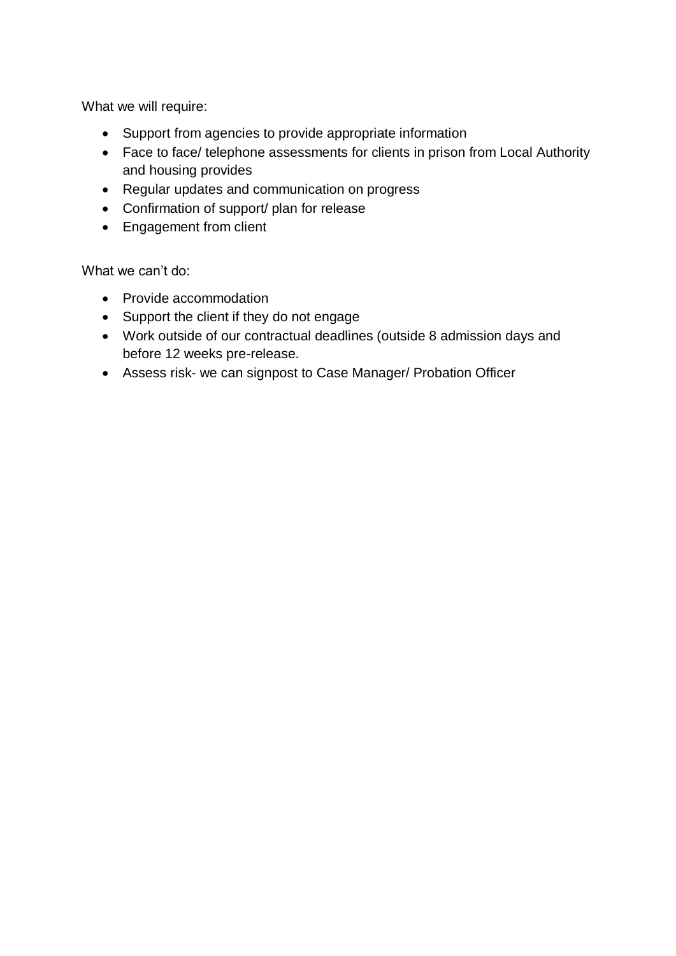What we will require:

- Support from agencies to provide appropriate information
- Face to face/ telephone assessments for clients in prison from Local Authority and housing provides
- Regular updates and communication on progress
- Confirmation of support/ plan for release
- Engagement from client

What we can't do:

- Provide accommodation
- Support the client if they do not engage
- Work outside of our contractual deadlines (outside 8 admission days and before 12 weeks pre-release.
- Assess risk- we can signpost to Case Manager/ Probation Officer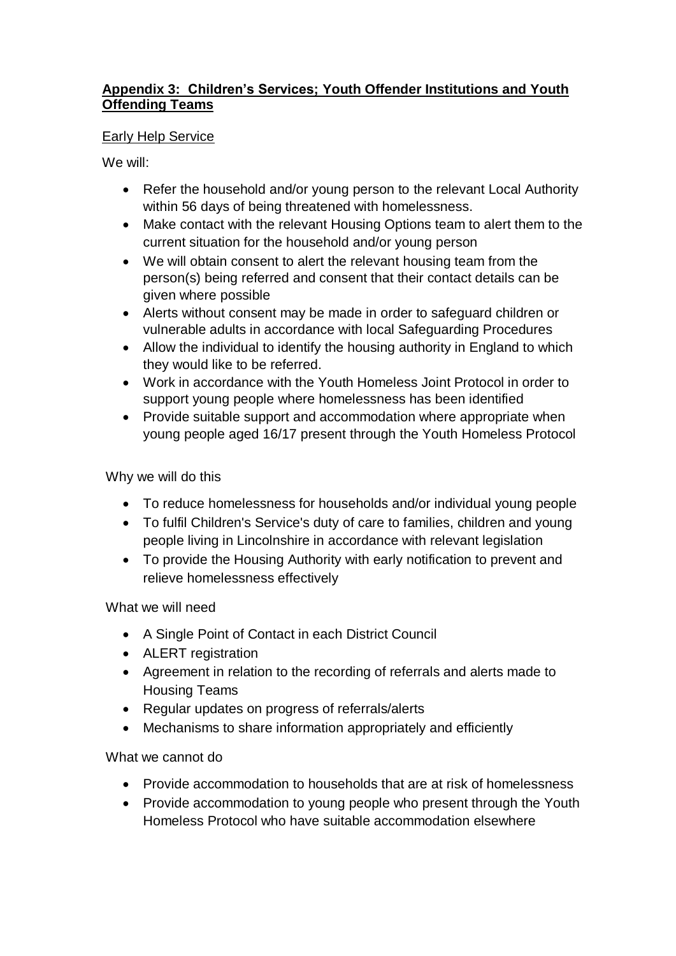# **Appendix 3: Children's Services; Youth Offender Institutions and Youth Offending Teams**

## Early Help Service

We will:

- Refer the household and/or young person to the relevant Local Authority within 56 days of being threatened with homelessness.
- Make contact with the relevant Housing Options team to alert them to the current situation for the household and/or young person
- We will obtain consent to alert the relevant housing team from the person(s) being referred and consent that their contact details can be given where possible
- Alerts without consent may be made in order to safeguard children or vulnerable adults in accordance with local Safeguarding Procedures
- Allow the individual to identify the housing authority in England to which they would like to be referred.
- Work in accordance with the Youth Homeless Joint Protocol in order to support young people where homelessness has been identified
- Provide suitable support and accommodation where appropriate when young people aged 16/17 present through the Youth Homeless Protocol

Why we will do this

- To reduce homelessness for households and/or individual young people
- To fulfil Children's Service's duty of care to families, children and young people living in Lincolnshire in accordance with relevant legislation
- To provide the Housing Authority with early notification to prevent and relieve homelessness effectively

What we will need

- A Single Point of Contact in each District Council
- ALERT registration
- Agreement in relation to the recording of referrals and alerts made to Housing Teams
- Regular updates on progress of referrals/alerts
- Mechanisms to share information appropriately and efficiently

What we cannot do

- Provide accommodation to households that are at risk of homelessness
- Provide accommodation to young people who present through the Youth Homeless Protocol who have suitable accommodation elsewhere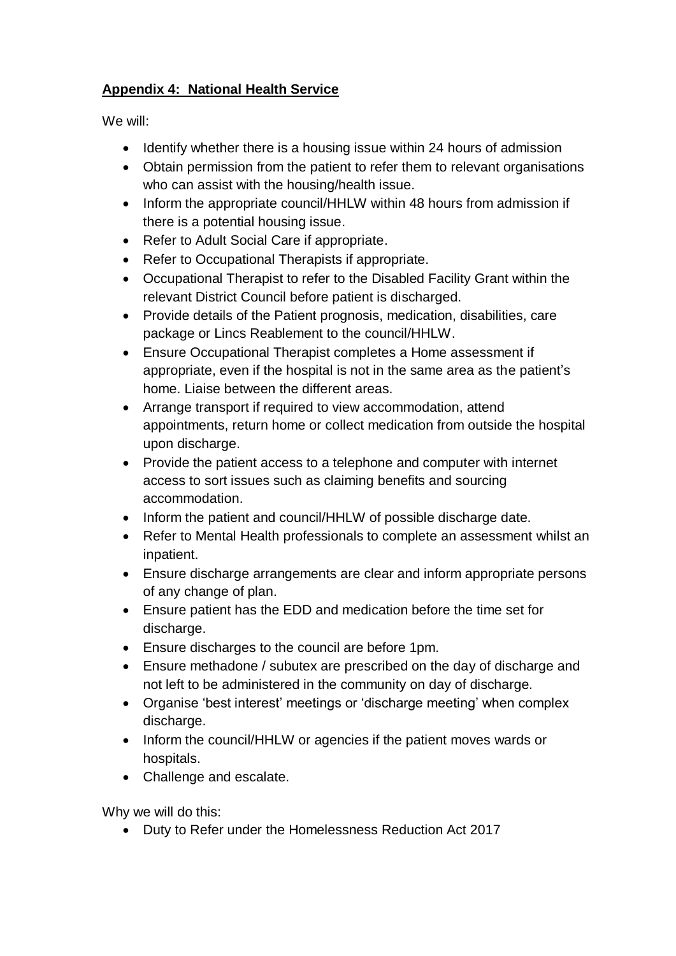# **Appendix 4: National Health Service**

We will:

- Identify whether there is a housing issue within 24 hours of admission
- Obtain permission from the patient to refer them to relevant organisations who can assist with the housing/health issue.
- Inform the appropriate council/HHLW within 48 hours from admission if there is a potential housing issue.
- Refer to Adult Social Care if appropriate.
- Refer to Occupational Therapists if appropriate.
- Occupational Therapist to refer to the Disabled Facility Grant within the relevant District Council before patient is discharged.
- Provide details of the Patient prognosis, medication, disabilities, care package or Lincs Reablement to the council/HHLW.
- Ensure Occupational Therapist completes a Home assessment if appropriate, even if the hospital is not in the same area as the patient's home. Liaise between the different areas.
- Arrange transport if required to view accommodation, attend appointments, return home or collect medication from outside the hospital upon discharge.
- Provide the patient access to a telephone and computer with internet access to sort issues such as claiming benefits and sourcing accommodation.
- Inform the patient and council/HHLW of possible discharge date.
- Refer to Mental Health professionals to complete an assessment whilst an inpatient.
- Ensure discharge arrangements are clear and inform appropriate persons of any change of plan.
- Ensure patient has the EDD and medication before the time set for discharge.
- Ensure discharges to the council are before 1pm.
- Ensure methadone / subutex are prescribed on the day of discharge and not left to be administered in the community on day of discharge.
- Organise 'best interest' meetings or 'discharge meeting' when complex discharge.
- Inform the council/HHLW or agencies if the patient moves wards or hospitals.
- Challenge and escalate.

Why we will do this:

Duty to Refer under the Homelessness Reduction Act 2017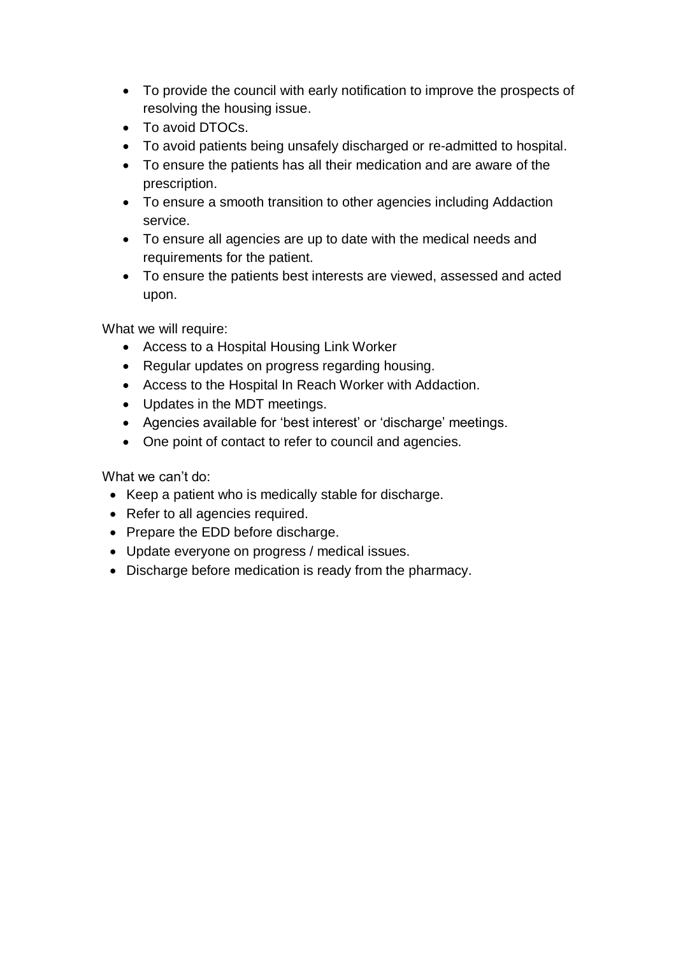- To provide the council with early notification to improve the prospects of resolving the housing issue.
- To avoid DTOCs.
- To avoid patients being unsafely discharged or re-admitted to hospital.
- To ensure the patients has all their medication and are aware of the prescription.
- To ensure a smooth transition to other agencies including Addaction service.
- To ensure all agencies are up to date with the medical needs and requirements for the patient.
- To ensure the patients best interests are viewed, assessed and acted upon.

What we will require:

- Access to a Hospital Housing Link Worker
- Regular updates on progress regarding housing.
- Access to the Hospital In Reach Worker with Addaction.
- Updates in the MDT meetings.
- Agencies available for 'best interest' or 'discharge' meetings.
- One point of contact to refer to council and agencies.

What we can't do:

- Keep a patient who is medically stable for discharge.
- Refer to all agencies required.
- Prepare the EDD before discharge.
- Update everyone on progress / medical issues.
- Discharge before medication is ready from the pharmacy.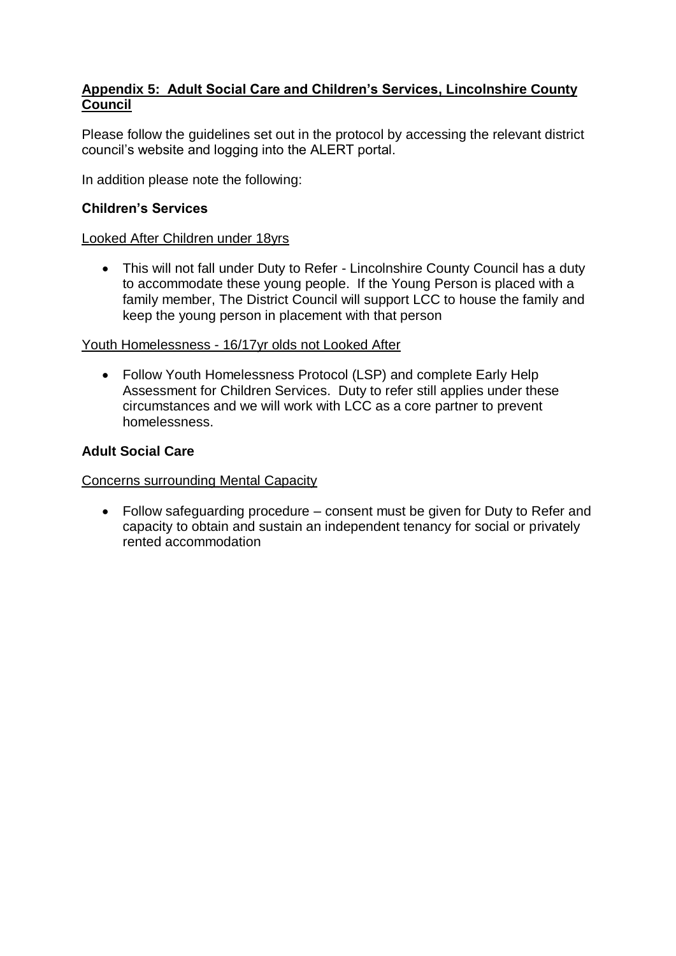## **Appendix 5: Adult Social Care and Children's Services, Lincolnshire County Council**

Please follow the guidelines set out in the protocol by accessing the relevant district council's website and logging into the ALERT portal.

In addition please note the following:

## **Children's Services**

### Looked After Children under 18yrs

• This will not fall under Duty to Refer - Lincolnshire County Council has a duty to accommodate these young people. If the Young Person is placed with a family member, The District Council will support LCC to house the family and keep the young person in placement with that person

#### Youth Homelessness - 16/17yr olds not Looked After

 Follow Youth Homelessness Protocol (LSP) and complete Early Help Assessment for Children Services. Duty to refer still applies under these circumstances and we will work with LCC as a core partner to prevent homelessness.

## **Adult Social Care**

#### Concerns surrounding Mental Capacity

 Follow safeguarding procedure – consent must be given for Duty to Refer and capacity to obtain and sustain an independent tenancy for social or privately rented accommodation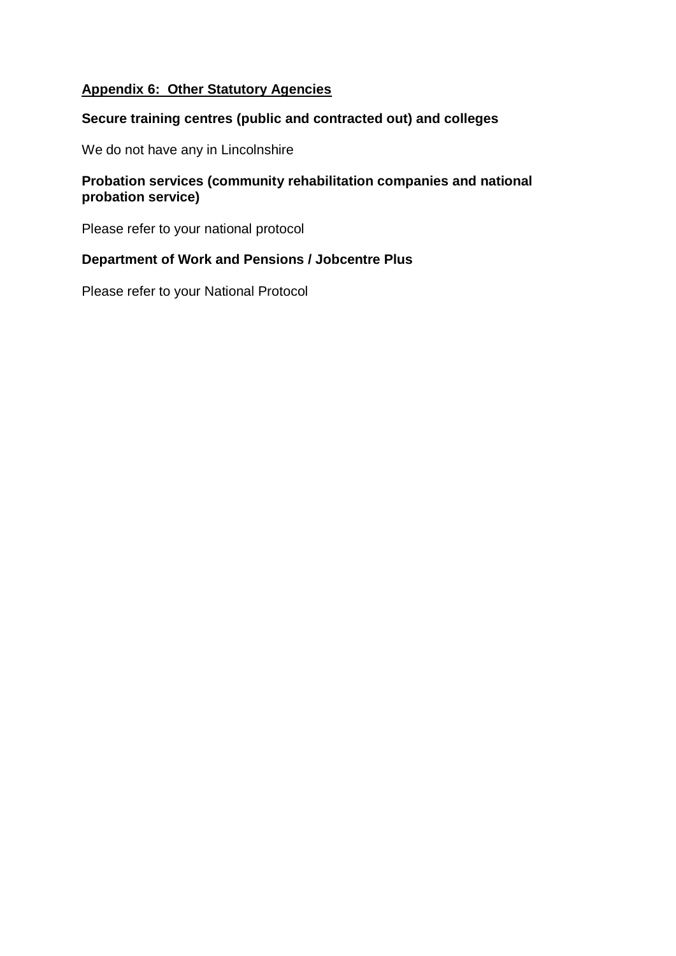# **Appendix 6: Other Statutory Agencies**

## **Secure training centres (public and contracted out) and colleges**

We do not have any in Lincolnshire

## **Probation services (community rehabilitation companies and national probation service)**

Please refer to your national protocol

## **Department of Work and Pensions / Jobcentre Plus**

Please refer to your National Protocol